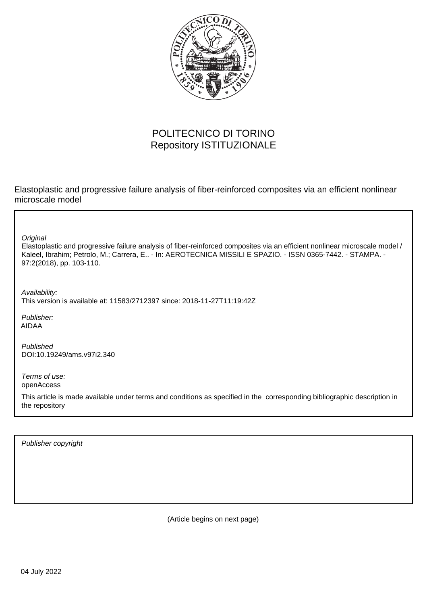

# POLITECNICO DI TORINO Repository ISTITUZIONALE

Elastoplastic and progressive failure analysis of fiber-reinforced composites via an efficient nonlinear microscale model

**Original** 

Elastoplastic and progressive failure analysis of fiber-reinforced composites via an efficient nonlinear microscale model / Kaleel, Ibrahim; Petrolo, M.; Carrera, E.. - In: AEROTECNICA MISSILI E SPAZIO. - ISSN 0365-7442. - STAMPA. - 97:2(2018), pp. 103-110.

Availability: This version is available at: 11583/2712397 since: 2018-11-27T11:19:42Z

Publisher: AIDAA

Published DOI:10.19249/ams.v97i2.340

Terms of use: openAccess

This article is made available under terms and conditions as specified in the corresponding bibliographic description in the repository

Publisher copyright

(Article begins on next page)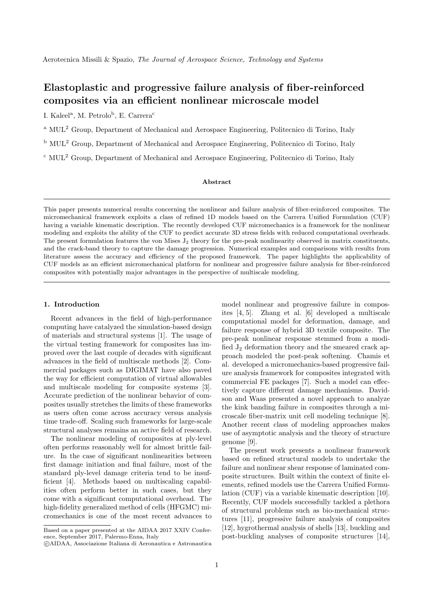# Elastoplastic and progressive failure analysis of fiber-reinforced composites via an efficient nonlinear microscale model

I. Kaleel<sup>a</sup>, M. Petrolo<sup>b</sup>, E. Carrera<sup>c</sup>

<sup>a</sup> MUL<sup>2</sup> Group, Department of Mechanical and Aerospace Engineering, Politecnico di Torino, Italy

<sup>b</sup> MUL<sup>2</sup> Group, Department of Mechanical and Aerospace Engineering, Politecnico di Torino, Italy

<sup>c</sup> MUL<sup>2</sup> Group, Department of Mechanical and Aerospace Engineering, Politecnico di Torino, Italy

### Abstract

This paper presents numerical results concerning the nonlinear and failure analysis of fiber-reinforced composites. The micromechanical framework exploits a class of refined 1D models based on the Carrera Unified Formulation (CUF) having a variable kinematic description. The recently developed CUF micromechanics is a framework for the nonlinear modeling and exploits the ability of the CUF to predict accurate 3D stress fields with reduced computational overheads. The present formulation features the von Mises  $J_2$  theory for the pre-peak nonlinearity observed in matrix constituents, and the crack-band theory to capture the damage progression. Numerical examples and comparisons with results from literature assess the accuracy and efficiency of the proposed framework. The paper highlights the applicability of CUF models as an efficient micromechanical platform for nonlinear and progressive failure analysis for fiber-reinforced composites with potentially major advantages in the perspective of multiscale modeling.

#### 1. Introduction

Recent advances in the field of high-performance computing have catalyzed the simulation-based design of materials and structural systems [1]. The usage of the virtual testing framework for composites has improved over the last couple of decades with significant advances in the field of multiscale methods [2]. Commercial packages such as DIGIMAT have also paved the way for efficient computation of virtual allowables and multiscale modeling for composite systems [3]. Accurate prediction of the nonlinear behavior of composites usually stretches the limits of these frameworks as users often come across accuracy versus analysis time trade-off. Scaling such frameworks for large-scale structural analyses remains an active field of research.

The nonlinear modeling of composites at ply-level often performs reasonably well for almost brittle failure. In the case of significant nonlinearities between first damage initiation and final failure, most of the standard ply-level damage criteria tend to be insufficient [4]. Methods based on multiscaling capabilities often perform better in such cases, but they come with a significant computational overhead. The high-fidelity generalized method of cells (HFGMC) micromechanics is one of the most recent advances to model nonlinear and progressive failure in composites [4, 5]. Zhang et al. [6] developed a multiscale computational model for deformation, damage, and failure response of hybrid 3D textile composite. The pre-peak nonlinear response stemmed from a modified J<sup>2</sup> deformation theory and the smeared crack approach modeled the post-peak softening. Chamis et al. developed a micromechanics-based progressive failure analysis framework for composites integrated with commercial FE packages [7]. Such a model can effectively capture different damage mechanisms. Davidson and Waas presented a novel approach to analyze the kink banding failure in composites through a microscale fiber-matrix unit cell modeling technique [8]. Another recent class of modeling approaches makes use of asymptotic analysis and the theory of structure genome [9].

The present work presents a nonlinear framework based on refined structural models to undertake the failure and nonlinear shear response of laminated composite structures. Built within the context of finite elements, refined models use the Carrera Unified Formulation (CUF) via a variable kinematic description [10]. Recently, CUF models successfully tackled a plethora of structural problems such as bio-mechanical structures [11], progressive failure analysis of composites [12], hygrothermal analysis of shells [13], buckling and post-buckling analyses of composite structures [14],

Based on a paper presented at the AIDAA 2017 XXIV Conference, September 2017, Palermo-Enna, Italy

c AIDAA, Associazione Italiana di Aeronautica e Astronautica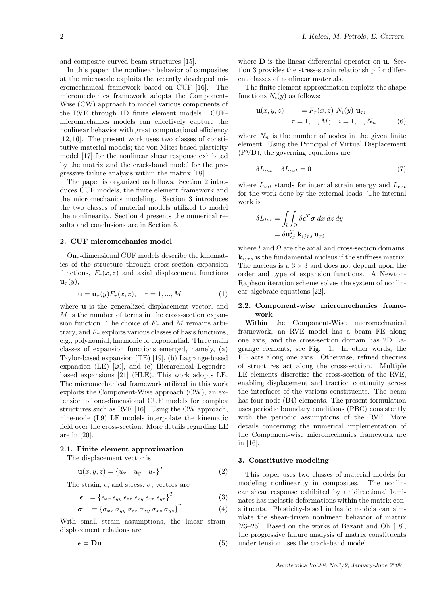and composite curved beam structures [15].

In this paper, the nonlinear behavior of composites at the microscale exploits the recently developed micromechanical framework based on CUF [16]. The micromechanics framework adopts the Component-Wise (CW) approach to model various components of the RVE through 1D finite element models. CUFmicromechanics models can effectively capture the nonlinear behavior with great computational efficiency [12, 16]. The present work uses two classes of constitutive material models; the von Mises based plasticity model [17] for the nonlinear shear response exhibited by the matrix and the crack-band model for the progressive failure analysis within the matrix [18].

The paper is organized as follows: Section 2 introduces CUF models, the finite element framework and the micromechanics modeling. Section 3 introduces the two classes of material models utilized to model the nonlinearity. Section 4 presents the numerical results and conclusions are in Section 5.

#### 2. CUF micromechanics model

One-dimensional CUF models describe the kinematics of the structure through cross-section expansion functions,  $F_{\tau}(x, z)$  and axial displacement functions  $\mathbf{u}_{\tau}(y),$ 

$$
\mathbf{u} = \mathbf{u}_{\tau}(y) F_{\tau}(x, z), \quad \tau = 1, ..., M
$$
 (1)

where **u** is the generalized displacement vector, and M is the number of terms in the cross-section expansion function. The choice of  $F_{\tau}$  and M remains arbitrary, and  $F_{\tau}$  exploits various classes of basis functions, e.g., polynomial, harmonic or exponential. Three main classes of expansion functions emerged, namely, (a) Taylor-based expansion (TE) [19], (b) Lagrange-based expansion (LE) [20], and (c) Hierarchical Legendrebased expansions [21] (HLE). This work adopts LE. The micromechanical framework utilized in this work exploits the Component-Wise approach (CW), an extension of one-dimensional CUF models for complex structures such as RVE [16]. Using the CW approach, nine-node (L9) LE models interpolate the kinematic field over the cross-section. More details regarding LE are in [20].

#### 2.1. Finite element approximation

The displacement vector is

$$
\mathbf{u}(x, y, z) = \{u_x \quad u_y \quad u_z\}^T \tag{2}
$$

The strain,  $\epsilon$ , and stress,  $\sigma$ , vectors are

$$
\epsilon = \left\{ \epsilon_{xx} \epsilon_{yy} \epsilon_{zz} \epsilon_{xy} \epsilon_{xz} \epsilon_{yz} \right\}^T, \tag{3}
$$

$$
\boldsymbol{\sigma}^{}~= \left\{\sigma_{xx} \, \sigma_{yy} \, \sigma_{zz} \, \sigma_{xy} \, \sigma_{xz} \, \sigma_{yz} \right\}^T
$$

With small strain assumptions, the linear straindisplacement relations are

$$
\epsilon = \mathbf{D}\mathbf{u} \tag{5}
$$

where  **is the linear differential operator on**  $**u**$ **. Sec**tion 3 provides the stress-strain relationship for different classes of nonlinear materials.

The finite element approximation exploits the shape functions  $N_i(y)$  as follows:

$$
\mathbf{u}(x, y, z) = F_{\tau}(x, z) N_i(y) \mathbf{u}_{\tau i}
$$
  
\n
$$
\tau = 1, ..., M; \quad i = 1, ..., N_n
$$
 (6)

where  $N_n$  is the number of nodes in the given finite element. Using the Principal of Virtual Displacement (PVD), the governing equations are

$$
\delta L_{int} - \delta L_{ext} = 0\tag{7}
$$

where  $L_{int}$  stands for internal strain energy and  $L_{ext}$ for the work done by the external loads. The internal work is

$$
\delta L_{int} = \int_{l} \int_{\Omega} \delta \epsilon^{T} \sigma \, dx \, dz \, dy
$$

$$
= \delta \mathbf{u}_{sj}^{T} \, \mathbf{k}_{ij\tau s} \, \mathbf{u}_{\tau i}
$$

where  $l$  and  $\Omega$  are the axial and cross-section domains.  ${\bf k}_{ij\tau s}$  is the fundamental nucleus if the stiffness matrix. The nucleus is a  $3 \times 3$  and does not depend upon the order and type of expansion functions. A Newton-Raphson iteration scheme solves the system of nonlinear algebraic equations [22].

#### 2.2. Component-wise micromechanics framework

Within the Component-Wise micromechanical framework, an RVE model has a beam FE along one axis, and the cross-section domain has 2D Lagrange elements, see Fig. 1. In other words, the FE acts along one axis. Otherwise, refined theories of structures act along the cross-section. Multiple LE elements discretize the cross-section of the RVE, enabling displacement and traction continuity across the interfaces of the various constituents. The beam has four-node (B4) elements. The present formulation uses periodic boundary conditions (PBC) consistently with the periodic assumptions of the RVE. More details concerning the numerical implementation of the Component-wise micromechanics framework are in [16].

#### 3. Constitutive modeling

(4)

This paper uses two classes of material models for modeling nonlinearity in composites. The nonlinear shear response exhibited by unidirectional laminates has inelastic deformations within the matrix constituents. Plasticity-based inelastic models can simulate the shear-driven nonlinear behavior of matrix [23–25]. Based on the works of Bazant and Oh [18], the progressive failure analysis of matrix constituents under tension uses the crack-band model.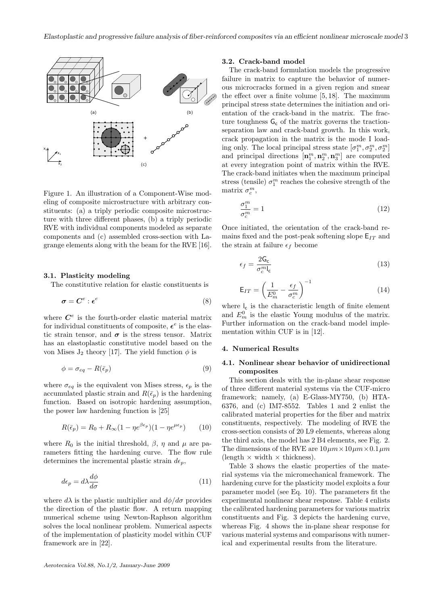

Figure 1. An illustration of a Component-Wise modeling of composite microstructure with arbitrary constituents: (a) a triply periodic composite microstructure with three different phases, (b) a triply periodic RVE with individual components modeled as separate components and (c) assembled cross-section with Lagrange elements along with the beam for the RVE [16].

#### 3.1. Plasticity modeling

The constitutive relation for elastic constituents is

$$
\boldsymbol{\sigma} = \boldsymbol{C}^e : \boldsymbol{\epsilon}^e \tag{8}
$$

where  $C^e$  is the fourth-order elastic material matrix for individual constituents of composite,  $\epsilon^e$  is the elastic strain tensor, and  $\sigma$  is the stress tensor. Matrix has an elastoplastic constitutive model based on the von Mises  $J_2$  theory [17]. The yield function  $\phi$  is

$$
\phi = \sigma_{eq} - R(\bar{\epsilon}_p) \tag{9}
$$

where  $\sigma_{eq}$  is the equivalent von Mises stress,  $\epsilon_p$  is the accumulated plastic strain and  $R(\bar{\epsilon}_p)$  is the hardening function. Based on isotropic hardening assumption, the power law hardening function is [25]

$$
R(\bar{\epsilon}_p) = R_0 + R_{\infty} (1 - \eta e^{\beta \epsilon_p}) (1 - \eta e^{\mu \epsilon_p}) \tag{10}
$$

where  $R_0$  is the initial threshold,  $\beta$ ,  $\eta$  and  $\mu$  are parameters fitting the hardening curve. The flow rule determines the incremental plastic strain  $d\epsilon_n$ ,

$$
d\epsilon_p = d\lambda \frac{d\phi}{d\sigma} \tag{11}
$$

where  $d\lambda$  is the plastic multiplier and  $d\phi/d\sigma$  provides the direction of the plastic flow. A return mapping numerical scheme using Newton-Raphson algorithm solves the local nonlinear problem. Numerical aspects of the implementation of plasticity model within CUF framework are in [22].

#### 3.2. Crack-band model

The crack-band formulation models the progressive failure in matrix to capture the behavior of numerous microcracks formed in a given region and smear the effect over a finite volume [5, 18]. The maximum principal stress state determines the initiation and orientation of the crack-band in the matrix. The fracture toughness  $G_c$  of the matrix governs the tractionseparation law and crack-band growth. In this work, crack propagation in the matrix is the mode I loading only. The local principal stress state  $[\sigma^m_1, \sigma^m_2, \sigma^m_2]$ and principal directions  $\left[\mathbf{n}_1^m, \mathbf{n}_2^m, \mathbf{n}_3^m\right]$  are computed at every integration point of matrix within the RVE. The crack-band initiates when the maximum principal stress (tensile)  $\sigma_1^m$  reaches the cohesive strength of the matrix  $\sigma_c^m$ ,

$$
\frac{\sigma_1^m}{\sigma_c^m} = 1\tag{12}
$$

Once initiated, the orientation of the crack-band remains fixed and the post-peak softening slope  $E_{IT}$  and the strain at failure  $\epsilon_f$  become

$$
\epsilon_f = \frac{2\mathsf{G}_{\mathsf{c}}}{\sigma_c^m \mathsf{I}_{\mathsf{c}}} \tag{13}
$$

$$
\mathsf{E}_{IT} = \left(\frac{1}{E_m^0} - \frac{\epsilon_f}{\sigma_c^m}\right)^{-1} \tag{14}
$$

where  $\mathsf{l}_\mathsf{c}$  is the characteristic length of finite element and  $E_m^0$  is the elastic Young modulus of the matrix. Further information on the crack-band model implementation within CUF is in [12].

#### 4. Numerical Results

## 4.1. Nonlinear shear behavior of unidirectional composites

This section deals with the in-plane shear response of three different material systems via the CUF-micro framework; namely, (a) E-Glass-MY750, (b) HTA-6376, and (c) IM7-8552. Tables 1 and 2 enlist the calibrated material properties for the fiber and matrix constituents, respectively. The modeling of RVE the cross-section consists of 20 L9 elements, whereas along the third axis, the model has 2 B4 elements, see Fig. 2. The dimensions of the RVE are  $10 \mu m \times 10 \mu m \times 0.1 \mu m$  $(length \times width \times thickness)$ .

Table 3 shows the elastic properties of the material systems via the micromechanical framework. The hardening curve for the plasticity model exploits a four parameter model (see Eq. 10). The parameters fit the experimental nonlinear shear response. Table 4 enlists the calibrated hardening parameters for various matrix constituents and Fig. 3 depicts the hardening curve, whereas Fig. 4 shows the in-plane shear response for various material systems and comparisons with numerical and experimental results from the literature.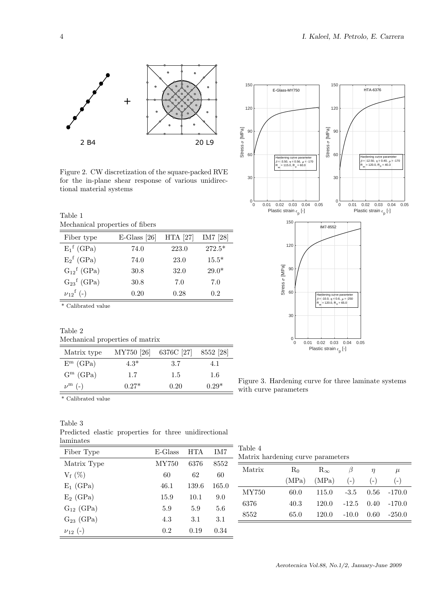

Figure 2. CW discretization of the square-packed RVE for the in-plane shear response of various unidirectional material systems

Table 1 Mechanical properties of fibers

| Fiber type                  | $E$ -Glass [26] | <b>HTA</b> [27] | IM7 [28] |
|-----------------------------|-----------------|-----------------|----------|
| $E_1^f$ (GPa)               | 74.0            | 223.0           | $272.5*$ |
| $E_2^f$ (GPa)               | 74.0            | 23.0            | $15.5*$  |
| $G_{12}$ <sup>f</sup> (GPa) | 30.8            | 32.0            | $29.0*$  |
| $G_{23}$ <sup>f</sup> (GPa) | 30.8            | 7.0             | 7.0      |
| $v_{12}^{\text{f}}$ (-)     | 0.20            | 0.28            | 0.2      |

\* Calibrated value

Table 2 Mechanical properties of matrix

| Matrix type            | MY750 [26] | 6376C [27] | 8552 [28] |
|------------------------|------------|------------|-----------|
| $E^m$ (GPa)            | $4.3*$     | -3.7       | 4. 1      |
| $G^m$ (GPa)            | 1.7        | 1.5        | 1.6       |
| $\nu^{\mathbf{m}}$ (-) | $0.27*$    | 0.20       | $0.29*$   |



Figure 3. Hardening curve for three laminate systems with curve parameters

 $\overline{\phantom{a}}^*$  Calibrated value

| Table 3   |  |  |                                                       |
|-----------|--|--|-------------------------------------------------------|
|           |  |  | Predicted elastic properties for three unidirectional |
| laminates |  |  |                                                       |

| -------------<br>Fiber Type | $E-Glass$    | <b>HTA</b>    | IM7          | Table 4<br>Matrix hardening curve parameters |       |              |         |                |               |
|-----------------------------|--------------|---------------|--------------|----------------------------------------------|-------|--------------|---------|----------------|---------------|
| Matrix Type                 | MY750        | 6376          | 8552         | Matrix                                       | $R_0$ | $R_{\infty}$ | $\beta$ | $\eta$         | $\mu$         |
| $V_f(\%)$                   | 60           | 62            | 60           |                                              | (MPa) | (MPa)        | $(-)$   | $\overline{a}$ | $(\hbox{--})$ |
| $E_1$ (GPa)<br>$E_2$ (GPa)  | 46.1<br>15.9 | 139.6<br>10.1 | 165.0<br>9.0 | MY750                                        | 60.0  | 115.0        | $-3.5$  | 0.56           | $-170.0$      |
| $G_{12}$ (GPa)              | 5.9          | 5.9           | 5.6          | 6376                                         | 40.3  | 120.0        | $-12.5$ | 0.40           | $-170.0$      |
| $G_{23}$ (GPa)              | 4.3          | 3.1           | 3.1          | 8552                                         | 65.0  | 120.0        | $-10.0$ | 0.60           | $-250.0$      |
| $v_{12}(-)$                 | 0.2          | 0.19          | 0.34         |                                              |       |              |         |                |               |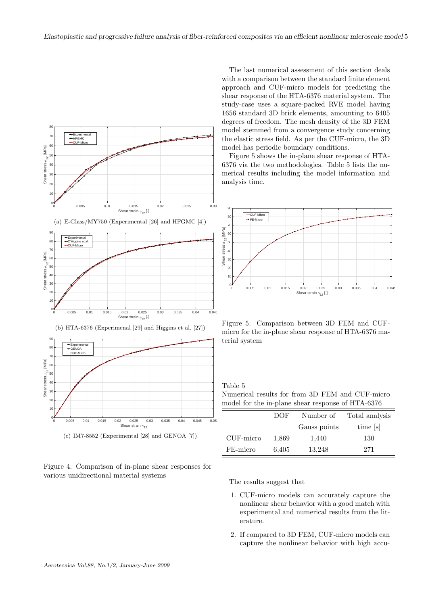

Figure 4. Comparison of in-plane shear responses for various unidirectional material systems

The last numerical assessment of this section deals with a comparison between the standard finite element approach and CUF-micro models for predicting the shear response of the HTA-6376 material system. The study-case uses a square-packed RVE model having 1656 standard 3D brick elements, amounting to 6405 degrees of freedom. The mesh density of the 3D FEM model stemmed from a convergence study concerning the elastic stress field. As per the CUF-micro, the 3D model has periodic boundary conditions.

Figure 5 shows the in-plane shear response of HTA-6376 via the two methodologies. Table 5 lists the numerical results including the model information and analysis time.



Figure 5. Comparison between 3D FEM and CUFmicro for the in-plane shear response of HTA-6376 material system

# Table 5

Numerical results for from 3D FEM and CUF-micro model for the in-plane shear response of HTA-6376

|           | DOF.  | Number of    | Total analysis |  |  |
|-----------|-------|--------------|----------------|--|--|
|           |       | Gauss points | time [s]       |  |  |
| CUF-micro | 1,869 | 1,440        | 130            |  |  |
| FE-micro  | 6,405 | 13,248       | 271            |  |  |

The results suggest that

- 1. CUF-micro models can accurately capture the nonlinear shear behavior with a good match with experimental and numerical results from the literature.
- 2. If compared to 3D FEM, CUF-micro models can capture the nonlinear behavior with high accu-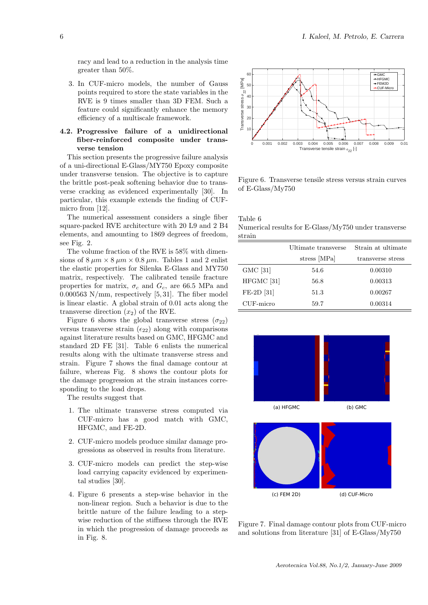racy and lead to a reduction in the analysis time greater than 50%.

3. In CUF-micro models, the number of Gauss points required to store the state variables in the RVE is 9 times smaller than 3D FEM. Such a feature could significantly enhance the memory efficiency of a multiscale framework.

## 4.2. Progressive failure of a unidirectional fiber-reinforced composite under transverse tension

This section presents the progressive failure analysis of a uni-directional E-Glass/MY750 Epoxy composite under transverse tension. The objective is to capture the brittle post-peak softening behavior due to transverse cracking as evidenced experimentally [30]. In particular, this example extends the finding of CUFmicro from [12].

The numerical assessment considers a single fiber square-packed RVE architecture with 20 L9 and 2 B4 elements, and amounting to 1869 degrees of freedom, see Fig. 2.

The volume fraction of the RVE is 58% with dimensions of  $8 \mu m \times 8 \mu m \times 0.8 \mu m$ . Tables 1 and 2 enlist the elastic properties for Silenka E-Glass and MY750 matrix, respectively. The calibrated tensile fracture properties for matrix,  $\sigma_c$  and  $G_c$ , are 66.5 MPa and  $0.000563$  N/mm, respectively [5, 31]. The fiber model is linear elastic. A global strain of 0.01 acts along the transverse direction  $(x_2)$  of the RVE.

Figure 6 shows the global transverse stress ( $\sigma_{22}$ ) versus transverse strain  $(\epsilon_{22})$  along with comparisons against literature results based on GMC, HFGMC and standard 2D FE [31]. Table 6 enlists the numerical results along with the ultimate transverse stress and strain. Figure 7 shows the final damage contour at failure, whereas Fig. 8 shows the contour plots for the damage progression at the strain instances corresponding to the load drops.

The results suggest that

- 1. The ultimate transverse stress computed via CUF-micro has a good match with GMC, HFGMC, and FE-2D.
- 2. CUF-micro models produce similar damage progressions as observed in results from literature.
- 3. CUF-micro models can predict the step-wise load carrying capacity evidenced by experimental studies [30].
- 4. Figure 6 presents a step-wise behavior in the non-linear region. Such a behavior is due to the brittle nature of the failure leading to a stepwise reduction of the stiffness through the RVE in which the progression of damage proceeds as in Fig. 8.



Figure 6. Transverse tensile stress versus strain curves of E-Glass/My750

Table 6 Numerical results for E-Glass/My750 under transverse strain

|                       | Ultimate transverse | Strain at ultimate |
|-----------------------|---------------------|--------------------|
|                       | stress [MPa]        | transverse stress  |
| GMC [31]              | 54.6                | 0.00310            |
| HFGMC <sup>[31]</sup> | 56.8                | 0.00313            |
| FE-2D [31]            | 51.3                | 0.00267            |
| CUF-micro             | 59.7                | 0.00314            |



Figure 7. Final damage contour plots from CUF-micro and solutions from literature [31] of E-Glass/My750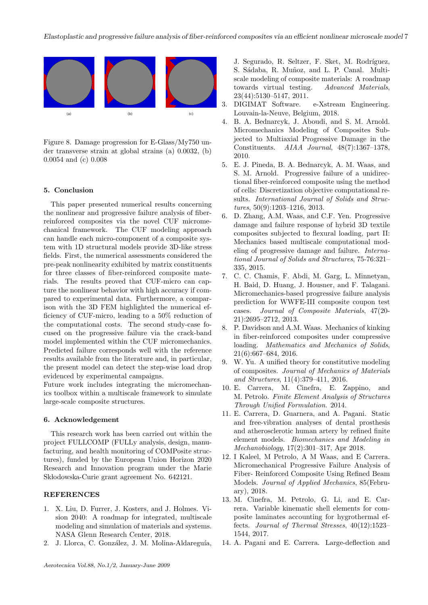

Figure 8. Damage progression for E-Glass/My750 under transverse strain at global strains (a) 0.0032, (b) 0.0054 and (c) 0.008

#### 5. Conclusion

This paper presented numerical results concerning the nonlinear and progressive failure analysis of fiberreinforced composites via the novel CUF micromechanical framework. The CUF modeling approach can handle each micro-component of a composite system with 1D structural models provide 3D-like stress fields. First, the numerical assessments considered the pre-peak nonlinearity exhibited by matrix constituents for three classes of fiber-reinforced composite materials. The results proved that CUF-micro can capture the nonlinear behavior with high accuracy if compared to experimental data. Furthermore, a comparison with the 3D FEM highlighted the numerical efficiency of CUF-micro, leading to a 50% reduction of the computational costs. The second study-case focused on the progressive failure via the crack-band model implemented within the CUF micromechanics. Predicted failure corresponds well with the reference results available from the literature and, in particular, the present model can detect the step-wise load drop evidenced by experimental campaigns.

Future work includes integrating the micromechanics toolbox within a multiscale framework to simulate large-scale composite structures.

#### 6. Acknowledgement

This research work has been carried out within the project FULLCOMP (FULLy analysis, design, manufacturing, and health monitoring of COMPosite structures), funded by the European Union Horizon 2020 Research and Innovation program under the Marie Sk lodowska-Curie grant agreement No. 642121.

### REFERENCES

- 1. X. Liu, D. Furrer, J. Kosters, and J. Holmes. Vision 2040: A roadmap for integrated, multiscale modeling and simulation of materials and systems. NASA Glenn Research Center, 2018.
- 2. J. Llorca, C. González, J. M. Molina-Aldareguía,

J. Segurado, R. Seltzer, F. Sket, M. Rodríguez, S. Sádaba, R. Muñoz, and L. P. Canal. Multiscale modeling of composite materials: A roadmap towards virtual testing. Advanced Materials, 23(44):5130–5147, 2011.

- 3. DIGIMAT Software. e-Xstream Engineering. Louvain-la-Neuve, Belgium, 2018.
- 4. B. A. Bednarcyk, J. Aboudi, and S. M. Arnold. Micromechanics Modeling of Composites Subjected to Multiaxial Progressive Damage in the Constituents. AIAA Journal, 48(7):1367–1378, 2010.
- 5. E. J. Pineda, B. A. Bednarcyk, A. M. Waas, and S. M. Arnold. Progressive failure of a unidirectional fiber-reinforced composite using the method of cells: Discretization objective computational results. International Journal of Solids and Structures, 50(9):1203–1216, 2013.
- 6. D. Zhang, A.M. Waas, and C.F. Yen. Progressive damage and failure response of hybrid 3D textile composites subjected to flexural loading, part II: Mechanics based multiscale computational modeling of progressive damage and failure. International Journal of Solids and Structures, 75-76:321– 335, 2015.
- 7. C. C. Chamis, F. Abdi, M. Garg, L. Minnetyan, H. Baid, D. Huang, J. Housner, and F. Talagani. Micromechanics-based progressive failure analysis prediction for WWFE-III composite coupon test cases. Journal of Composite Materials, 47(20- 21):2695–2712, 2013.
- 8. P. Davidson and A.M. Waas. Mechanics of kinking in fiber-reinforced composites under compressive loading. Mathematics and Mechanics of Solids, 21(6):667–684, 2016.
- 9. W. Yu. A unified theory for constitutive modeling of composites. Journal of Mechanics of Materials and Structures, 11(4):379–411, 2016.
- 10. E. Carrera, M. Cinefra, E. Zappino, and M. Petrolo. Finite Element Analysis of Structures Through Unified Formulation. 2014.
- 11. E. Carrera, D. Guarnera, and A. Pagani. Static and free-vibration analyses of dental prosthesis and atherosclerotic human artery by refined finite element models. Biomechanics and Modeling in Mechanobiology, 17(2):301–317, Apr 2018.
- 12. I Kaleel, M Petrolo, A M Waas, and E Carrera. Micromechanical Progressive Failure Analysis of Fiber- Reinforced Composite Using Refined Beam Models. Journal of Applied Mechanics, 85(February), 2018.
- 13. M. Cinefra, M. Petrolo, G. Li, and E. Carrera. Variable kinematic shell elements for composite laminates accounting for hygrothermal effects. Journal of Thermal Stresses, 40(12):1523– 1544, 2017.
- 14. A. Pagani and E. Carrera. Large-deflection and